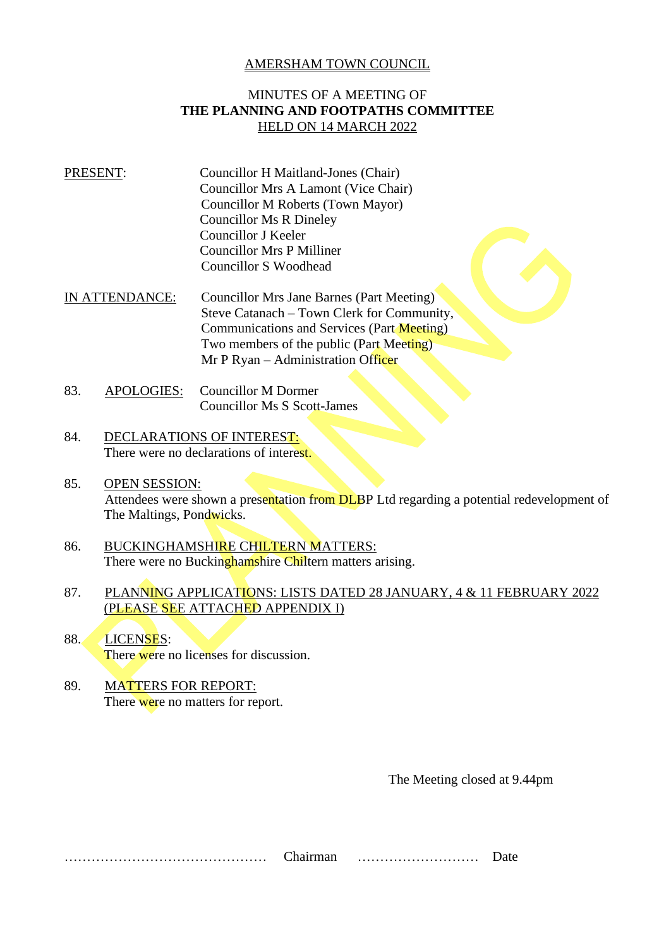## AMERSHAM TOWN COUNCIL

## MINUTES OF A MEETING OF **THE PLANNING AND FOOTPATHS COMMITTEE** HELD ON 14 MARCH 2022

- PRESENT: Councillor H Maitland-Jones (Chair) Councillor Mrs A Lamont (Vice Chair) Councillor M Roberts (Town Mayor) Councillor Ms R Dineley Councillor J Keeler Councillor Mrs P Milliner Councillor S Woodhead
- IN ATTENDANCE: Councillor Mrs Jane Barnes (Part Meeting) Steve Catanach – Town Clerk for Community, Communications and Services (Part Meeting) Two members of the public (Part Meeting) Mr P Ryan – Administration Officer
- 83. APOLOGIES: Councillor M Dormer Councillor Ms S Scott-James
- 84. DECLARATIONS OF INTEREST: There were no declarations of interest.
- 85. OPEN SESSION: Attendees were shown a presentation from DLBP Ltd regarding a potential redevelopment of The Maltings, Pondwicks.
- 86. BUCKINGHAMSHIRE CHILTERN MATTERS: There were no Buckinghamshire Chiltern matters arising.
- 87. PLANNING APPLICATIONS: LISTS DATED 28 JANUARY, 4 & 11 FEBRUARY 2022 (PLEASE SEE ATTACHED APPENDIX I)
- 88. LICENSES: There were no licenses for discussion.
- 89. MATTERS FOR REPORT: There were no matters for report.

The Meeting closed at 9.44pm

……………………………………… Chairman ……………………… Date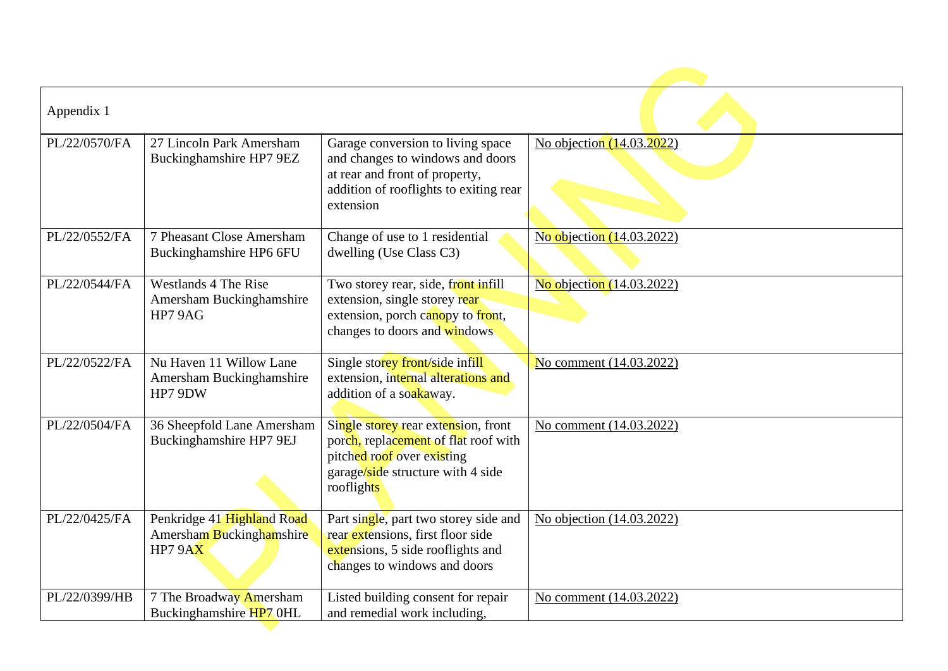| Appendix 1    |                                                                  |                                                                                                                                                                |                           |
|---------------|------------------------------------------------------------------|----------------------------------------------------------------------------------------------------------------------------------------------------------------|---------------------------|
| PL/22/0570/FA | 27 Lincoln Park Amersham<br>Buckinghamshire HP7 9EZ              | Garage conversion to living space<br>and changes to windows and doors<br>at rear and front of property,<br>addition of rooflights to exiting rear<br>extension | No objection (14.03.2022) |
| PL/22/0552/FA | 7 Pheasant Close Amersham<br>Buckinghamshire HP6 6FU             | Change of use to 1 residential<br>dwelling (Use Class C3)                                                                                                      | No objection (14.03.2022) |
| PL/22/0544/FA | Westlands 4 The Rise<br>Amersham Buckinghamshire<br>HP7 9AG      | Two storey rear, side, front infill<br>extension, single storey rear<br>extension, porch canopy to front,<br>changes to doors and windows                      | No objection (14.03.2022) |
| PL/22/0522/FA | Nu Haven 11 Willow Lane<br>Amersham Buckinghamshire<br>HP7 9DW   | Single storey front/side infill<br>extension, internal alterations and<br>addition of a soakaway.                                                              | No comment (14.03.2022)   |
| PL/22/0504/FA | 36 Sheepfold Lane Amersham<br>Buckinghamshire HP7 9EJ            | Single storey rear extension, front<br>porch, replacement of flat roof with<br>pitched roof over existing<br>garage/side structure with 4 side<br>rooflights   | No comment (14.03.2022)   |
| PL/22/0425/FA | Penkridge 41 Highland Road<br>Amersham Buckinghamshire<br>HP79AX | Part single, part two storey side and<br>rear extensions, first floor side<br>extensions, 5 side rooflights and<br>changes to windows and doors                | No objection (14.03.2022) |
| PL/22/0399/HB | 7 The Broadway Amersham<br>Buckinghamshire HP7 0HL               | Listed building consent for repair<br>and remedial work including,                                                                                             | No comment (14.03.2022)   |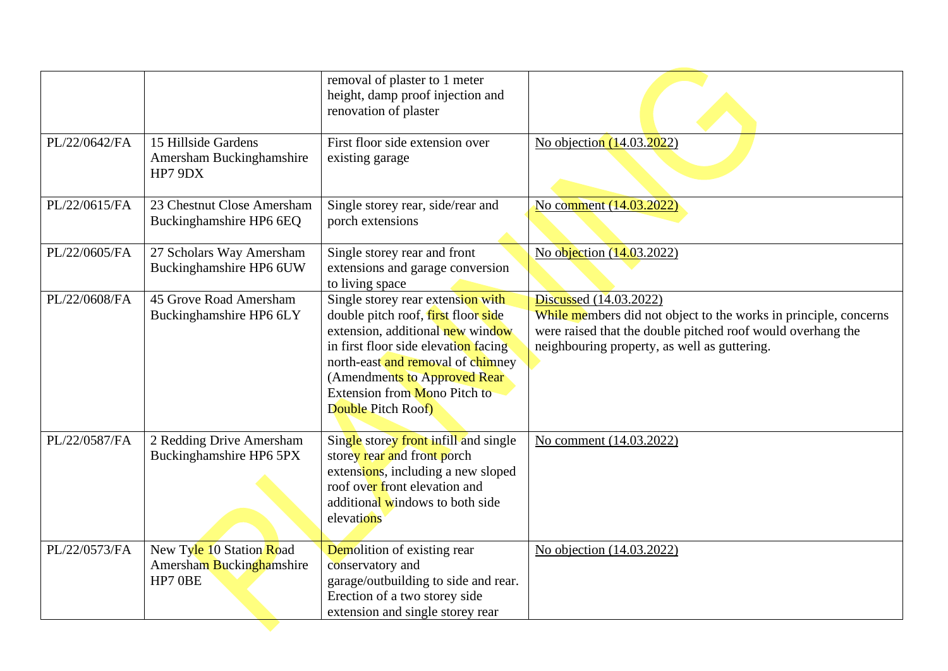|               |                                                                 | removal of plaster to 1 meter<br>height, damp proof injection and<br>renovation of plaster                                                                                                                                                                                       |                                                                                                                                                                                                           |
|---------------|-----------------------------------------------------------------|----------------------------------------------------------------------------------------------------------------------------------------------------------------------------------------------------------------------------------------------------------------------------------|-----------------------------------------------------------------------------------------------------------------------------------------------------------------------------------------------------------|
| PL/22/0642/FA | 15 Hillside Gardens<br>Amersham Buckinghamshire<br>HP7 9DX      | First floor side extension over<br>existing garage                                                                                                                                                                                                                               | No objection (14.03.2022)                                                                                                                                                                                 |
| PL/22/0615/FA | 23 Chestnut Close Amersham<br>Buckinghamshire HP6 6EQ           | Single storey rear, side/rear and<br>porch extensions                                                                                                                                                                                                                            | No comment (14.03.2022)                                                                                                                                                                                   |
| PL/22/0605/FA | 27 Scholars Way Amersham<br>Buckinghamshire HP6 6UW             | Single storey rear and front<br>extensions and garage conversion<br>to living space                                                                                                                                                                                              | No objection (14.03.2022)                                                                                                                                                                                 |
| PL/22/0608/FA | 45 Grove Road Amersham<br>Buckinghamshire HP6 6LY               | Single storey rear extension with<br>double pitch roof, first floor side<br>extension, additional new window<br>in first floor side elevation facing<br>north-east and removal of chimney<br>(Amendments to Approved Rear)<br>Extension from Mono Pitch to<br>Double Pitch Roof) | Discussed (14.03.2022)<br>While members did not object to the works in principle, concerns<br>were raised that the double pitched roof would overhang the<br>neighbouring property, as well as guttering. |
| PL/22/0587/FA | 2 Redding Drive Amersham<br>Buckinghamshire HP6 5PX             | Single storey front infill and single<br>storey rear and front porch<br>extensions, including a new sloped<br>roof over front elevation and<br>additional windows to both side<br>elevations                                                                                     | No comment (14.03.2022)                                                                                                                                                                                   |
| PL/22/0573/FA | New Tyle 10 Station Road<br>Amersham Buckinghamshire<br>HP7 OBE | Demolition of existing rear<br>conservatory and<br>garage/outbuilding to side and rear.<br>Erection of a two storey side<br>extension and single storey rear                                                                                                                     | No objection (14.03.2022)                                                                                                                                                                                 |